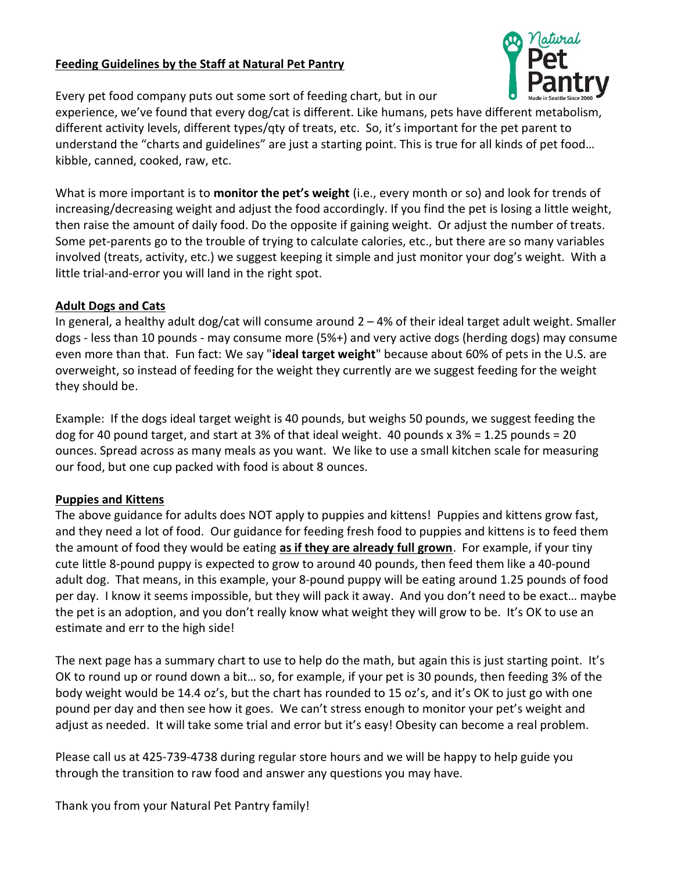## Feeding Guidelines by the Staff at Natural Pet Pantry



Every pet food company puts out some sort of feeding chart, but in our

experience, we've found that every dog/cat is different. Like humans, pets have different metabolism, different activity levels, different types/qty of treats, etc. So, it's important for the pet parent to understand the "charts and guidelines" are just a starting point. This is true for all kinds of pet food… kibble, canned, cooked, raw, etc.

What is more important is to monitor the pet's weight (i.e., every month or so) and look for trends of increasing/decreasing weight and adjust the food accordingly. If you find the pet is losing a little weight, then raise the amount of daily food. Do the opposite if gaining weight. Or adjust the number of treats. Some pet-parents go to the trouble of trying to calculate calories, etc., but there are so many variables involved (treats, activity, etc.) we suggest keeping it simple and just monitor your dog's weight. With a little trial-and-error you will land in the right spot.

## Adult Dogs and Cats

In general, a healthy adult dog/cat will consume around  $2 - 4%$  of their ideal target adult weight. Smaller dogs - less than 10 pounds - may consume more (5%+) and very active dogs (herding dogs) may consume even more than that. Fun fact: We say "ideal target weight" because about 60% of pets in the U.S. are overweight, so instead of feeding for the weight they currently are we suggest feeding for the weight they should be.

Example: If the dogs ideal target weight is 40 pounds, but weighs 50 pounds, we suggest feeding the dog for 40 pound target, and start at 3% of that ideal weight. 40 pounds x 3% = 1.25 pounds = 20 ounces. Spread across as many meals as you want. We like to use a small kitchen scale for measuring our food, but one cup packed with food is about 8 ounces.

## Puppies and Kittens

The above guidance for adults does NOT apply to puppies and kittens! Puppies and kittens grow fast, and they need a lot of food. Our guidance for feeding fresh food to puppies and kittens is to feed them the amount of food they would be eating as if they are already full grown. For example, if your tiny cute little 8-pound puppy is expected to grow to around 40 pounds, then feed them like a 40-pound adult dog. That means, in this example, your 8-pound puppy will be eating around 1.25 pounds of food per day. I know it seems impossible, but they will pack it away. And you don't need to be exact… maybe the pet is an adoption, and you don't really know what weight they will grow to be. It's OK to use an estimate and err to the high side!

The next page has a summary chart to use to help do the math, but again this is just starting point. It's OK to round up or round down a bit… so, for example, if your pet is 30 pounds, then feeding 3% of the body weight would be 14.4 oz's, but the chart has rounded to 15 oz's, and it's OK to just go with one pound per day and then see how it goes. We can't stress enough to monitor your pet's weight and adjust as needed. It will take some trial and error but it's easy! Obesity can become a real problem.

Please call us at 425-739-4738 during regular store hours and we will be happy to help guide you through the transition to raw food and answer any questions you may have.

Thank you from your Natural Pet Pantry family!